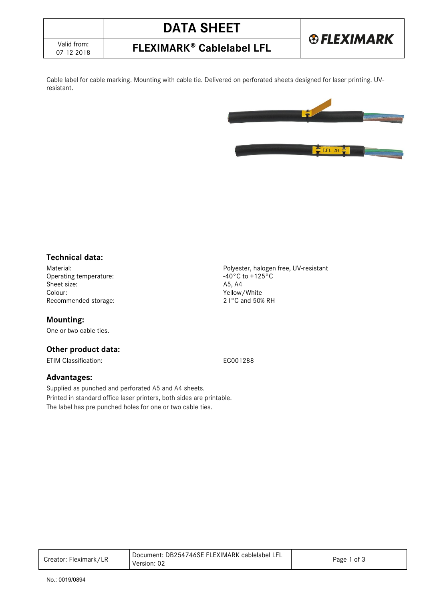| Valid from: |  |
|-------------|--|
| 07-12-2018  |  |

# **DATA SHEET FLEXIMARK<sup>®</sup> Cablelabel LFL**

Cable label for cable marking. Mounting with cable tie. Delivered on perforated sheets designed for laser printing. UVresistant.

### **Technical data:**

Operating temperature:  $-40^{\circ}$ C to +125°C to +125°C to +125°C to +125°C to +125°C to +125°C to +125°C to +125°C to +125°C to +125°C to +125°C to +125°C to +125°C to +125°C to +125°C to +125°C to +125°C to +125°C to +125° Sheet size:<br>Colour: Recommended storage:

#### **Mounting:**

One or two cable ties.

#### **Other product data:**

ETIM Classification: EC001288

#### **Advantages:**

Supplied as punched and perforated A5 and A4 sheets. Printed in standard office laser printers, both sides are printable. The label has pre punched holes for one or two cable ties.

Creator: Fleximark/LR Document: DB254746SE FLEXIMARK cablelabel LFL Version: 02 Page 1 of 3

Material:<br>
Operating temperature:<br>
Operating temperature:<br>  $-40^{\circ}C$  to +125°C Yellow/White<br>21°C and 50% RH

LFL 2H

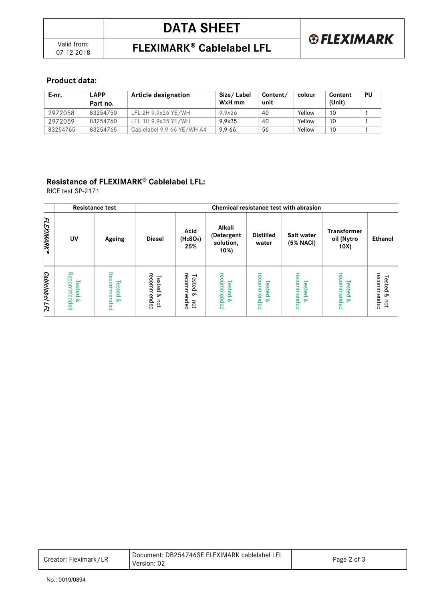#### **Product data:**

| E-nr.    | <b>APP</b><br>Part no. | <b>Article designation</b> | Size/Label<br>WxH mm | Content/<br>unit | colour | Content<br>(Unit) | PU |
|----------|------------------------|----------------------------|----------------------|------------------|--------|-------------------|----|
| 2972058  | 83254750               | LFL 2H 9.9x26 YE/WH        | 9.9x26               | 40               | Yellow | 10                |    |
| 2972059  | 83254760               | LFL 1H 9.9x35 YE/WH        | 9.9x35               | 40               | Yellow | 10                |    |
| 83254765 | 83254765               | Cablelabel 9.9-66 YE/WH A4 | $9.9 - 66$           | 56               | Yellow | 10                |    |

### **Resistance of FLEXIMARK® Cablelabel LFL:**

RICE test SP-2171

|                                 |                                    | <b>Resistance test</b>            | Chemical resistance test with abrasion |                                                  |                                           |                                   |                                    |                                          |                                    |
|---------------------------------|------------------------------------|-----------------------------------|----------------------------------------|--------------------------------------------------|-------------------------------------------|-----------------------------------|------------------------------------|------------------------------------------|------------------------------------|
| <b>ELEXIMARK®</b>               | UV                                 | Ageing                            | <b>Diesel</b>                          | Acid<br>(H <sub>2</sub> SO <sub>4</sub> )<br>25% | Alkali<br>(Detergent<br>solution,<br>10%) | <b>Distilled</b><br>water         | Salt water<br>(5% NACI)            | <b>Transformer</b><br>oil (Nytro<br>10X) | <b>Ethanol</b>                     |
| <b><i>Cablelabel</i></b><br>LFL | Recommended<br><b>Tested &amp;</b> | Recommended<br>Tested<br>$\infty$ | recommended<br>Tested<br>۵<br>not      | recom<br>Tested<br>mended<br>∞<br>not            | recommended<br>Tested<br><b>Qo</b>        | recommended<br>Tested<br>$\infty$ | recommended<br>Tested<br><b>Qo</b> | recommended<br>Tested<br><b>Qo</b>       | recommended<br>Tested<br>Q,<br>pot |

| Creator: Fleximark/LR | Document: DB254746SE FLEXIMARK cablelabel LFL<br>Version: 02 | Page 2 of 3 |
|-----------------------|--------------------------------------------------------------|-------------|
|-----------------------|--------------------------------------------------------------|-------------|